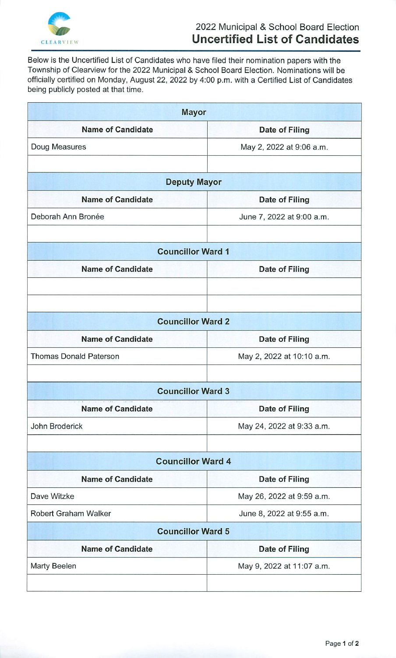

Below is the Uncertified List of Candidates who have filed their nomination papers with the Township of Clearview for the 2022 Municipal & School Board Election. Nominations will be officially certified on Monday, August 22, 2022 by 4:00 p.m. with a Certified List of Candidates being publicly posted at that time.

| <b>Mayor</b>                  |                           |
|-------------------------------|---------------------------|
| <b>Name of Candidate</b>      | <b>Date of Filing</b>     |
| Doug Measures                 | May 2, 2022 at 9:06 a.m.  |
|                               |                           |
| <b>Deputy Mayor</b>           |                           |
| <b>Name of Candidate</b>      | <b>Date of Filing</b>     |
| Deborah Ann Bronée            | June 7, 2022 at 9:00 a.m. |
| <b>Councillor Ward 1</b>      |                           |
| <b>Name of Candidate</b>      | Date of Filing            |
| <b>Councillor Ward 2</b>      |                           |
| <b>Name of Candidate</b>      | <b>Date of Filing</b>     |
| <b>Thomas Donald Paterson</b> | May 2, 2022 at 10:10 a.m. |
| <b>Councillor Ward 3</b>      |                           |
| <b>Name of Candidate</b>      | Date of Filing            |
| John Broderick                | May 24, 2022 at 9:33 a.m. |
| <b>Councillor Ward 4</b>      |                           |
| <b>Name of Candidate</b>      | Date of Filing            |
| Dave Witzke                   | May 26, 2022 at 9:59 a.m. |
| <b>Robert Graham Walker</b>   | June 8, 2022 at 9:55 a.m. |
| <b>Councillor Ward 5</b>      |                           |
| <b>Name of Candidate</b>      | <b>Date of Filing</b>     |
| Marty Beelen                  | May 9, 2022 at 11:07 a.m. |